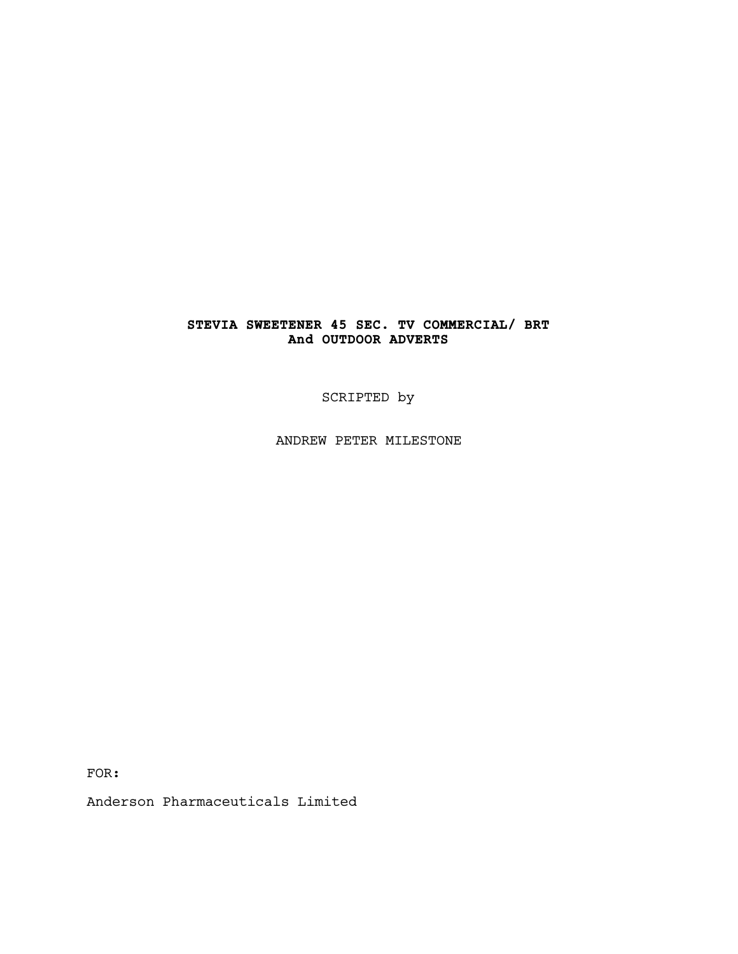# **STEVIA SWEETENER 45 SEC. TV COMMERCIAL/ BRT And OUTDOOR ADVERTS**

SCRIPTED by

ANDREW PETER MILESTONE

FOR:

Anderson Pharmaceuticals Limited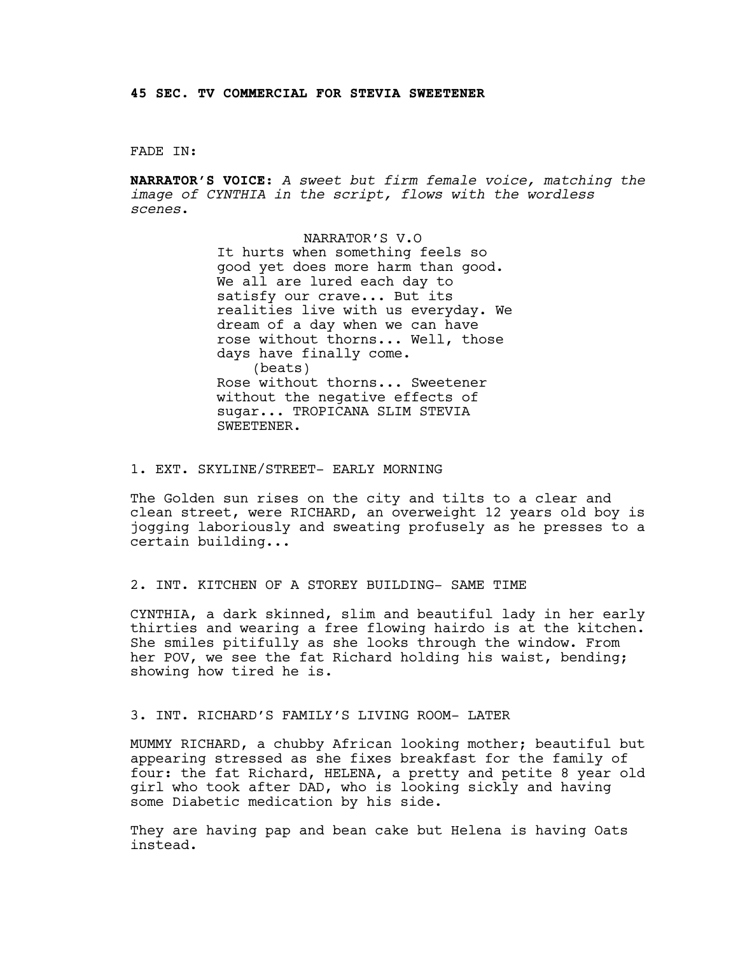### FADE IN:

**NARRATOR'S VOICE**: *A sweet but firm female voice, matching the image of CYNTHIA in the script, flows with the wordless scenes*.

> NARRATOR'S V.O It hurts when something feels so good yet does more harm than good. We all are lured each day to satisfy our crave... But its realities live with us everyday. We dream of a day when we can have rose without thorns... Well, those days have finally come. (beats) Rose without thorns... Sweetener without the negative effects of sugar... TROPICANA SLIM STEVIA SWEETENER.

### 1. EXT. SKYLINE/STREET- EARLY MORNING

The Golden sun rises on the city and tilts to a clear and clean street, were RICHARD, an overweight 12 years old boy is jogging laboriously and sweating profusely as he presses to a certain building...

### 2. INT. KITCHEN OF A STOREY BUILDING- SAME TIME

CYNTHIA, a dark skinned, slim and beautiful lady in her early thirties and wearing a free flowing hairdo is at the kitchen. She smiles pitifully as she looks through the window. From her POV, we see the fat Richard holding his waist, bending; showing how tired he is.

### 3. INT. RICHARD'S FAMILY'S LIVING ROOM- LATER

MUMMY RICHARD, a chubby African looking mother; beautiful but appearing stressed as she fixes breakfast for the family of four: the fat Richard, HELENA, a pretty and petite 8 year old girl who took after DAD, who is looking sickly and having some Diabetic medication by his side.

They are having pap and bean cake but Helena is having Oats instead.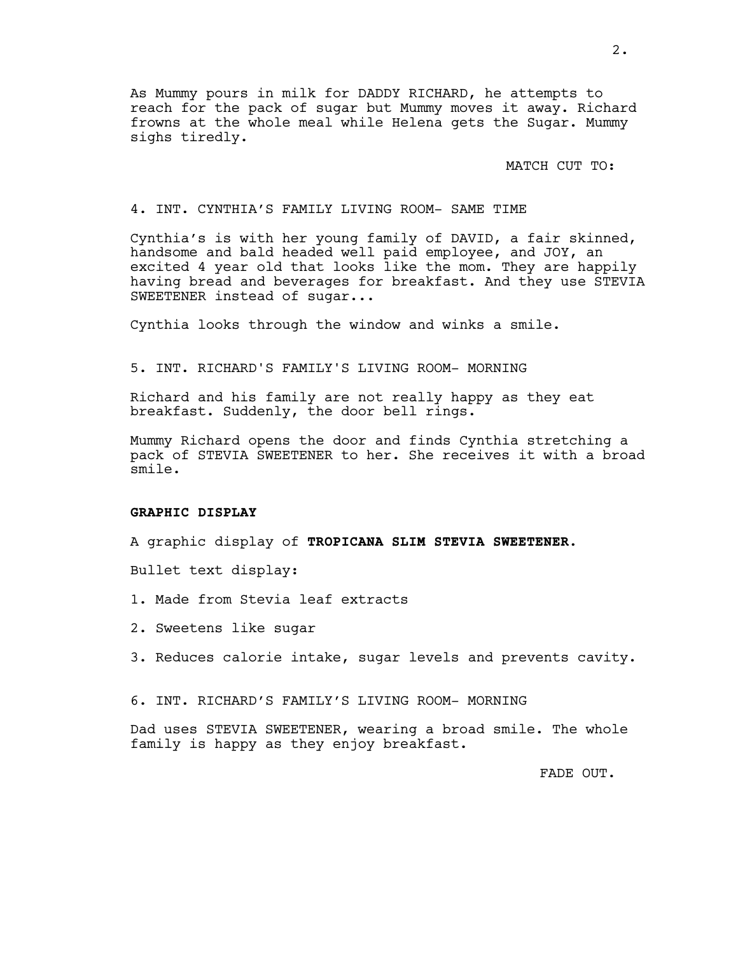As Mummy pours in milk for DADDY RICHARD, he attempts to reach for the pack of sugar but Mummy moves it away. Richard frowns at the whole meal while Helena gets the Sugar. Mummy sighs tiredly.

MATCH CUT TO:

## 4. INT. CYNTHIA'S FAMILY LIVING ROOM- SAME TIME

Cynthia's is with her young family of DAVID, a fair skinned, handsome and bald headed well paid employee, and JOY, an excited 4 year old that looks like the mom. They are happily having bread and beverages for breakfast. And they use STEVIA SWEETENER instead of sugar...

Cynthia looks through the window and winks a smile.

5. INT. RICHARD'S FAMILY'S LIVING ROOM- MORNING

Richard and his family are not really happy as they eat breakfast. Suddenly, the door bell rings.

Mummy Richard opens the door and finds Cynthia stretching a pack of STEVIA SWEETENER to her. She receives it with a broad smile.

### **GRAPHIC DISPLAY**

A graphic display of **TROPICANA SLIM STEVIA SWEETENER.** 

Bullet text display:

- 1. Made from Stevia leaf extracts
- 2. Sweetens like sugar
- 3. Reduces calorie intake, sugar levels and prevents cavity.

6. INT. RICHARD'S FAMILY'S LIVING ROOM- MORNING

Dad uses STEVIA SWEETENER, wearing a broad smile. The whole family is happy as they enjoy breakfast.

FADE OUT.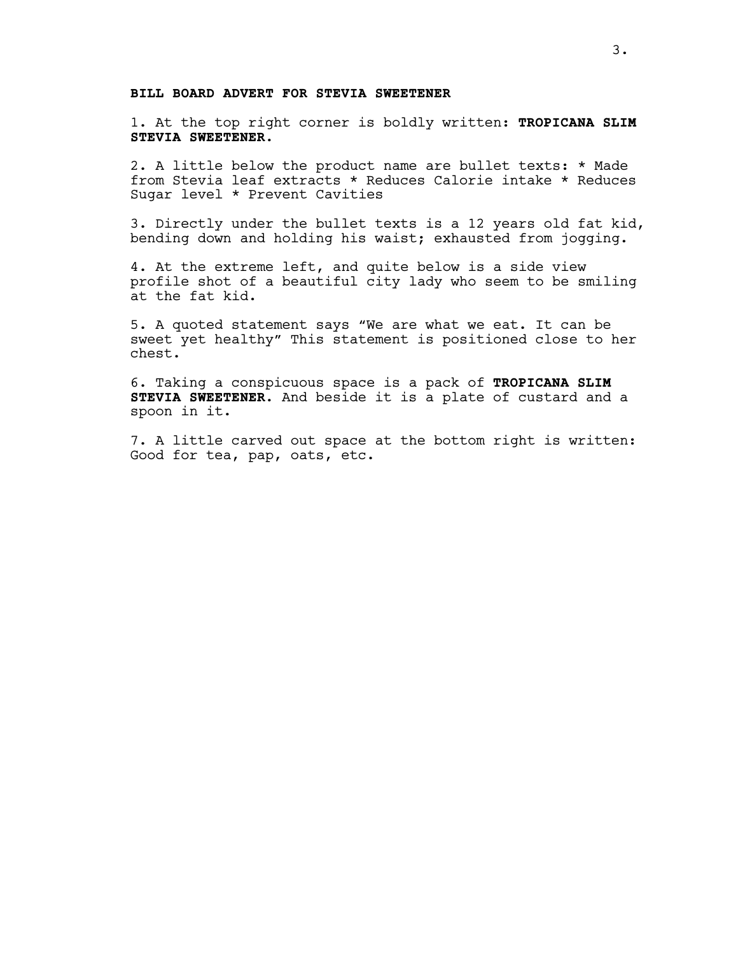## **BILL BOARD ADVERT FOR STEVIA SWEETENER**

1. At the top right corner is boldly written: **TROPICANA SLIM STEVIA SWEETENER.**

2. A little below the product name are bullet texts: \* Made from Stevia leaf extracts \* Reduces Calorie intake \* Reduces Sugar level \* Prevent Cavities

3. Directly under the bullet texts is a 12 years old fat kid, bending down and holding his waist; exhausted from jogging.

4. At the extreme left, and quite below is a side view profile shot of a beautiful city lady who seem to be smiling at the fat kid.

5. A quoted statement says "We are what we eat. It can be sweet yet healthy" This statement is positioned close to her chest.

6. Taking a conspicuous space is a pack of **TROPICANA SLIM STEVIA SWEETENER**. And beside it is a plate of custard and a spoon in it.

7. A little carved out space at the bottom right is written: Good for tea, pap, oats, etc.